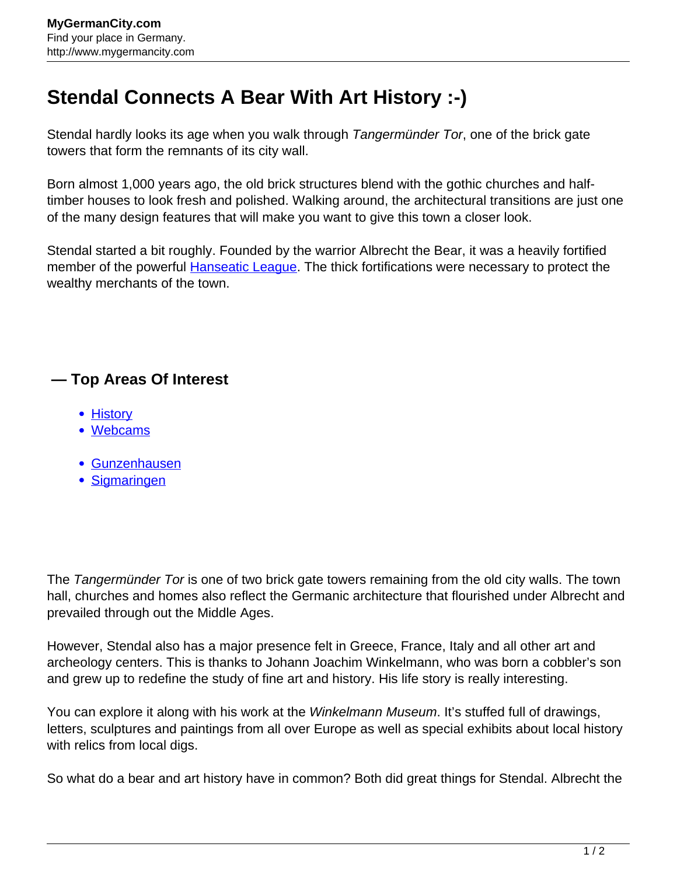## **Stendal Connects A Bear With Art History :-)**

Stendal hardly looks its age when you walk through *Tangermünder Tor*, one of the brick gate towers that form the remnants of its city wall.

Born almost 1,000 years ago, the old brick structures blend with the gothic churches and halftimber houses to look fresh and polished. Walking around, the architectural transitions are just one of the many design features that will make you want to give this town a closer look.

Stendal started a bit roughly. Founded by the warrior Albrecht the Bear, it was a heavily fortified member of the powerful **Hanseatic League**. The thick fortifications were necessary to protect the wealthy merchants of the town.

## **— Top Areas Of Interest**

- [History](http://www.mygermancity.com/leipzig-history)
- [Webcams](http://www.mygermancity.com/neustadt-holstein-webcams)
- [Gunzenhausen](http://www.mygermancity.com/gunzenhausen)
- [Sigmaringen](http://www.mygermancity.com/sigmaringen)

The Tangermünder Tor is one of two brick gate towers remaining from the old city walls. The town hall, churches and homes also reflect the Germanic architecture that flourished under Albrecht and prevailed through out the Middle Ages.

However, Stendal also has a major presence felt in Greece, France, Italy and all other art and archeology centers. This is thanks to Johann Joachim Winkelmann, who was born a cobbler's son and grew up to redefine the study of fine art and history. His life story is really interesting.

You can explore it along with his work at the *Winkelmann Museum*. It's stuffed full of drawings, letters, sculptures and paintings from all over Europe as well as special exhibits about local history with relics from local digs.

So what do a bear and art history have in common? Both did great things for Stendal. Albrecht the